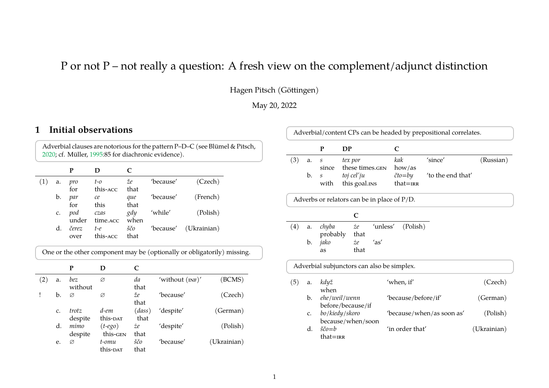# P or not P – not really a question: A fresh view on the complement/adjunct distinction

Hagen Pitsch (Göttingen)

May 20, 2022

# **1 Initial observations**

|                     | Adverbial clauses are notorious for the pattern P-D-C (see Blümel & Pitsch,<br>2020; cf. Müller, 1995:85 for diachronic evidence). |  |  |  |  |  |
|---------------------|------------------------------------------------------------------------------------------------------------------------------------|--|--|--|--|--|
| P<br>$\blacksquare$ |                                                                                                                                    |  |  |  |  |  |

| a.             | pro   | $t$ -0   | že   | 'because' | (Czech)               |  |
|----------------|-------|----------|------|-----------|-----------------------|--|
|                | for   | this-acc | that |           |                       |  |
| b.             | par   | ce       | que  | 'because' | (French)              |  |
|                | for   | this     | that |           |                       |  |
| C <sub>1</sub> | pod   | czas     | gdy  | 'while'   | (Polish)              |  |
|                | under | time.acc | when |           |                       |  |
| d.             | čerez | t-e      | ščo  |           | 'because' (Ukrainian) |  |
|                | over  | this-acc | that |           |                       |  |
|                |       |          |      |           |                       |  |

One or the other component may be (optionally or obligatorily) missing.

|     |             | Р                |                               |                |                   |             |
|-----|-------------|------------------|-------------------------------|----------------|-------------------|-------------|
| (2) | a.          | bez<br>without   | Ø                             | da<br>that     | 'without $(nN)$ ' | (BCMS)      |
|     | b.          | Ø                | Ø                             | že<br>that     | 'because'         | (Czech)     |
|     | $C_{\star}$ | trotz<br>despite | d-em<br>this- <sub>DAT</sub>  | (dass)<br>that | 'despite'         | (German)    |
|     | d.          | mimo<br>despite  | $(t - e g o)$<br>this-GEN     | żе<br>that     | 'despite'         | (Polish)    |
|     | e.          | Ø                | t-omu<br>this- <sub>DAT</sub> | ščo<br>that    | 'because'         | (Ukrainian) |

| Adverbial/content CPs can be headed by prepositional correlates. |                                                                    |          |                                                |          |              |                           |           |
|------------------------------------------------------------------|--------------------------------------------------------------------|----------|------------------------------------------------|----------|--------------|---------------------------|-----------|
|                                                                  |                                                                    | P        | DP                                             |          | C            |                           |           |
| (3)                                                              | a.                                                                 | S        | tex por                                        |          | kak          | 'since'                   | (Russian) |
|                                                                  |                                                                    | since    | these times.GEN                                |          | how/as       |                           |           |
|                                                                  | b.                                                                 | S        | toj cel'ju                                     |          | čto=by       | 'to the end that'         |           |
|                                                                  |                                                                    | with     | this goal.ins                                  |          | $that = IRR$ |                           |           |
|                                                                  |                                                                    |          | Adverbs or relators can be in place of $P/D$ . |          |              |                           |           |
|                                                                  | C                                                                  |          |                                                |          |              |                           |           |
| (4)                                                              | a.                                                                 | chyba    | $\dot{z}e$                                     | 'unless' | (Polish)     |                           |           |
|                                                                  |                                                                    | probably | that                                           |          |              |                           |           |
|                                                                  | b.                                                                 | jako     | $\dot{z}e$                                     | 'as'     |              |                           |           |
|                                                                  |                                                                    | as       | that                                           |          |              |                           |           |
| Adverbial subjunctors can also be simplex.                       |                                                                    |          |                                                |          |              |                           |           |
| (5)                                                              | a.                                                                 | když     |                                                |          | 'when, if'   |                           | (Czech)   |
| when                                                             |                                                                    |          |                                                |          |              |                           |           |
| ehe/weil/wenn<br>'because/before/if'<br>b.                       |                                                                    | (German) |                                                |          |              |                           |           |
| before/because/if                                                |                                                                    |          |                                                |          |              |                           |           |
|                                                                  | c.                                                                 |          | bo/kiedy/skoro                                 |          |              | 'because/when/as soon as' | (Polish)  |
|                                                                  |                                                                    |          | because/when/soon                              |          |              |                           |           |
|                                                                  | $\check{c}\check{c}o = b$<br>'in order that'<br>d.<br>$that = IRR$ |          | (Ukrainian)                                    |          |              |                           |           |
|                                                                  |                                                                    |          |                                                |          |              |                           |           |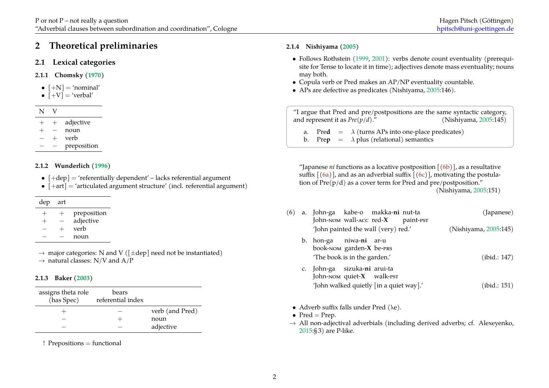# **2 Theoretical preliminaries**

# **2.1 Lexical categories**

- **2.1.1 Chomsky([1970\)](#page-5-1)**
- $[-N] = 'nominal'$
- $[+V]$  = 'verbal'

- + adjective
- + *−* noun
- $\vee$  **verb**
- *− −* preposition

#### **2.1.2 Wunderlich [\(1996\)](#page-6-1)**

- $[+dep] = 'referentially dependent' lacks referential argument$
- $[+art] = 'articulated argument structure' (incl. referential argument)$

| art |
|-----|
|     |

| $^+$ | $^{+}$ | preposition |
|------|--------|-------------|
| $^+$ |        | adjective   |
|      | $\pm$  | verb        |
|      |        | noun        |

*→* major categories: N and V ([*±*dep] need not be instantiated) *→* natural classes: N/V and A/P

#### **2.1.3 Baker ([2003\)](#page-5-2)**

| assigns theta role<br>(has Spec) | bears<br>referential index |                 |
|----------------------------------|----------------------------|-----------------|
|                                  |                            | verb (and Pred) |
|                                  |                            | noun            |
|                                  |                            | adjective       |

! Prepositions = functional

### <span id="page-1-0"></span>**2.1.4 Nishiyama ([2005\)](#page-6-2)**

- Follows Rothstein [\(1999](#page-6-3), [2001\)](#page-6-4): verbs denote count eventuality (prerequisite for Tense to locate it in time); adjectives denote mass eventuality; nouns may both.
- Copula verb or Pred makes an AP/NP eventuality countable.
- APs are defective as predicates (Nishiyama, [2005](#page-6-2):146).

"I argue that Pred and pre/postpositions are the same syntactic category, and represent it as *Pre(p/d)*." (Nishiyama, [2005:](#page-6-2)145)

a. Pred  $= \lambda$  (turns APs into one-place predicates)

b. Prep  $= \lambda$  plus (relational) semantics

"Japanese *ni* functions as a locative postposition  $[(6b)]$  $[(6b)]$  $[(6b)]$ , as a resultative suffix  $[(6a)]$  $[(6a)]$  $[(6a)]$ , and as an adverbial suffix  $[(6c)]$  $[(6c)]$  $[(6c)]$ , motivating the postulation of  $Pre(p/d)$  as a cover term for Pred and pre/postposition." (Nishiyama, [2005:](#page-6-2)151)

| (6) | a. John-ga kabe-o makka-ni nut-ta<br>John-NOM wall-ACC red-X                                     |  | paint- <sub>PST</sub> | (Japanese)            |  |
|-----|--------------------------------------------------------------------------------------------------|--|-----------------------|-----------------------|--|
|     | 'John painted the wall (very) red.'                                                              |  |                       | (Nishiyama, 2005:145) |  |
|     | b. hon-ga niwa- <b>ni</b> ar-u<br>book-NOM garden- $X$ be- $PRS$<br>'The book is in the garden.' |  |                       | (ibid.: 147)          |  |
|     | c. John-ga sizuka-ni arui-ta<br>John-NOM quiet- $X$ walk-pst                                     |  |                       |                       |  |
|     | 'John walked quietly [in a quiet way].'                                                          |  |                       | (ibid.: 151)          |  |

• Adverb suffix falls under Pred  $(\lambda e)$ .

• Pred  $=$  Prep.

*→* All non-adjectival adverbials (including derived adverbs; cf. Alexeyenko, [2015:](#page-5-3)§ 3) are P-like.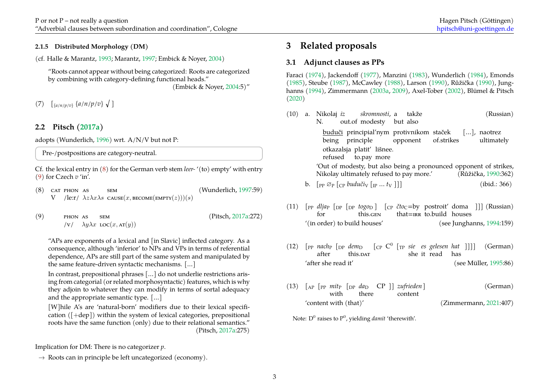#### **2.1.5 Distributed Morphology (DM)**

(cf. Halle & Marantz, [1993;](#page-5-4) Marantz, [1997;](#page-6-5) Embick & Noyer, [2004](#page-5-5))

"Roots cannot appear without being categorized: Roots are categorized by combining with category-defining functional heads."

(Embick & Noyer, [2004](#page-5-5):5)"

(7) [{*a*/*n*/*p*/*v*} {*a*/*n*/*p*/*v*} √ ]

# <span id="page-2-0"></span>**2.2 Pitsch([2017a\)](#page-6-6)**

adopts (Wunderlich, [1996](#page-6-1)) wrt. A/N/V but not P:

Pre-/postpositions are category-neutral.

Cf. the lexical entry in [\(8](#page-2-0)) for the German verb stem *leer-* '(to) empty' with entry ([9\)](#page-2-0) for Czech *v* 'in'.

- (8) CAT PHON AS SEM (Wunderlich, [1997:](#page-6-7)59) V PHON AS  $\lambda z \lambda x \lambda s$  cause $(x, \text{become}(\text{empry}(z)))(s)$ SEM
- $(9)$  PHON AS SEM (Pitsch, [2017a:](#page-6-6)272)  $\lambda y \lambda x \text{ loc}(x, \text{at}(y))$ PHON AS SEM

"APs are exponents of a lexical and [in Slavic] inflected category. As a consequence, although 'inferior' to NPs and VPs in terms of referential dependence, APs are still part of the same system and manipulated by the same feature-driven syntactic mechanisms. […]

In contrast, prepositional phrases […] do not underlie restrictions arising from categorial (or related morphosyntactic) features, which is why they adjoin to whatever they can modify in terms of sortal adequacy and the appropriate semantic type. […]

[W]hile A's are 'natural-born' modifiers due to their lexical specification  $( [ + dep] )$  within the system of lexical categories, prepositional roots have the same function (only) due to their relational semantics." (Pitsch, [2017a](#page-6-6):275)

Implication for DM: There is no categorizer *p*.

*→* Roots can in principle be left uncategorized (economy).

# **3 Related proposals**

# <span id="page-2-1"></span>**3.1 Adjunct clauses as PPs**

Faraci([1974\)](#page-5-6), Jackendoff [\(1977](#page-5-7)), Manzini([1983\)](#page-6-8), Wunderlich [\(1984](#page-6-9)), Emonds [\(1985](#page-5-8)), Steube [\(1987](#page-6-10)), McCawley([1988\)](#page-6-11), Larson([1990\)](#page-6-12), Růžička [\(1990\)](#page-6-13), Junghanns([1994\)](#page-5-9), Zimmermann [\(2003a](#page-6-14), [2009\)](#page-6-15), Axel-Tober([2002\)](#page-5-10), Blümel & Pitsch [\(2020](#page-5-0))

|  | (10) a. Nikolaj iz skromnosti, a takže<br>(Russian)<br>out.of modesty but also<br>N.                                                 |
|--|--------------------------------------------------------------------------------------------------------------------------------------|
|  | buduči principial'nym protivnikom staček [], naotrez<br>being principle opponent of.strikes ultimately<br>otkazalsja platit' lišnee. |
|  | refused to.pay more                                                                                                                  |
|  | 'Out of modesty, but also being a pronounced opponent of strikes,<br>Nikolay ultimately refused to pay more.' (Růžička, 1990:362)    |
|  | (ibid.: 366)                                                                                                                         |

- $(11)$  [PP *dlja*<sub>P</sub> [<sub>DP</sub> [<sub>DP</sub> *togo*<sub>D</sub>] [<sub>CP</sub> *čto*<sub>C</sub>=by postroit' doma ]]] (Russian) for this.GEN that=IRR to.build houses '(in order) to build houses' (see Junghanns, [1994:](#page-5-9)159)
- (12)  $\left[$  pp *nach*<sub>P</sub>  $\left[$   $_{DP}$  *dem*<sub>D</sub>  $\left[$   $_{CP}$  C<sup>0</sup>  $\left[$   $_{TP}$  *sie es gelesen hat*  $\left[$   $\right]\right]\right]$  (German) after  $[$ <sub>pp</sub>  $nach_{\rm P}$   $[$ <sub>DP</sub>  $dem_{\rm D}$ this.DAT she it read has 'after she read it' (see Müller, [1995:](#page-6-0)86)
- $(13)$   $\begin{bmatrix} \text{AP} \end{bmatrix}$   $\text{PP}$   $\text{P}$   $\text{PP}$   $\text{QP}$   $\begin{bmatrix} \text{D} \text{P} \end{bmatrix}$   $\text{Zu}$   $\text{Frieden}$   $\begin{bmatrix} \text{O} \end{bmatrix}$   $(13)$   $\begin{bmatrix} \text{German} \end{bmatrix}$ with there CP ]] *zufrieden* ] content 'content with (that)' (Zimmermann, [2021:](#page-6-16)407)

Note:  $D^0$  raises to  $P^0$ , yielding *damit '*therewith'.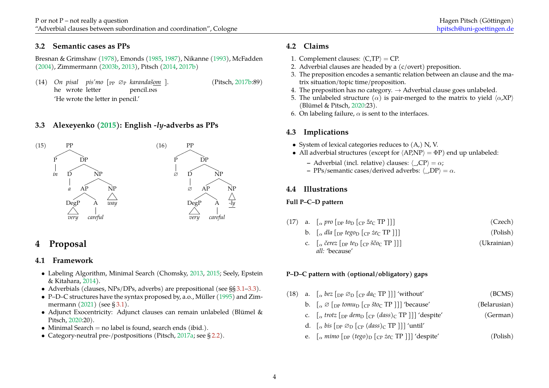# **3.2 Semantic cases as PPs**

Bresnan & Grimshaw [\(1978](#page-5-11)), Emonds([1985,](#page-5-8) [1987\)](#page-5-12), Nikanne([1993\)](#page-6-17), McFadden ([2004](#page-6-18)), Zimmermann [\(2003b,](#page-6-19) [2013\)](#page-6-20), Pitsch([2014,](#page-6-21) [2017b](#page-6-22))

(14) *On* (Pitsch, [2017b:](#page-6-22)89) *pisal pis'mo* [PP ∅<sup>P</sup> *karandašom* ]. he wrote letter pencil.INS 'He wrote the letter in pencil.'

# <span id="page-3-0"></span>**3.3 Alexeyenko [\(2015\)](#page-5-3): English** *-ly***-adverbs as PPs**



# **4 Proposal**

# **4.1 Framework**

- Labeling Algorithm, Minimal Search (Chomsky, [2013](#page-5-13), [2015;](#page-5-14) Seely, Epstein & Kitahara, [2014\)](#page-6-23).
- Adverbials (clauses, NPs/DPs, adverbs) are prepositional (see §§ [3.1](#page-2-1)[–3.3\)](#page-3-0).
- P–D–C structures have the syntax proposed by, a.o., Müller [\(1995](#page-6-0)) and Zim-mermann $(2021)$  $(2021)$  (see § [3.1\)](#page-2-1).
- Adjunct Exocentricity: Adjunct clauses can remain unlabeled (Blümel & Pitsch, [2020](#page-5-0):20).
- Minimal Search  $=$  no label is found, search ends (ibid.).
- Category-neutral pre-/postpositions (Pitsch, [2017a;](#page-6-6) see § [2.2](#page-2-0)).

# **4.2 Claims**

- 1. Complement clauses: *⟨*C,TP*⟩* = CP.
- 2. Adverbial clauses are headed by a (c/overt) preposition.
- 3. The preposition encodes a semantic relation between an clause and the matrix situation/topic time/proposition.
- 4. The preposition has no category.  $\rightarrow$  Adverbial clause goes unlabeled.
- 5. The unlabeled structure  $(\alpha)$  is pair-merged to the matrix to yield  $\langle \alpha, \text{XP} \rangle$ (Blümel & Pitsch, [2020](#page-5-0):23).
- 6. On labeling failure,  $\alpha$  is sent to the interfaces.

# **4.3 Implications**

- System of lexical categories reduces to  $(A)$ , N, V.
- All adverbial structures (except for  $\langle AP, NP \rangle = \Phi P$ ) end up unlabeled:
	- **–** Adverbial (incl. relative) clauses: *⟨*\_,CP*⟩* = *α*;
	- **–** PPs/semantic cases/derived adverbs: *⟨*\_,DP*⟩* = *α*.

# **4.4 Illustrations**

# **Full P–C–D pattern**

- (17) a.  $\int_{\alpha}$  *pro*  $\int_{\text{DP}}$  *to*<sub>D</sub>  $\int_{\text{CP}}$  *že*<sub>C</sub> **TP** ]]] (Czech)
	- b.  $\int_{\alpha} dl a \left[ \frac{\text{p}}{\text{p}} \text{teg} \right] \left[ \frac{\text{p}}{\text{c}} \text{gg} \right]$  (Polish)
	- c.  $\left[ \begin{array}{c} \alpha \\ \alpha \end{array} \right]$  *cerez*  $\left[ \begin{array}{c} \text{op } t \text{eD} \end{array} \right]$  (*Ukrainian*) *all:* 'because'

# <span id="page-3-1"></span>**P–D–C pattern with (optional/obligatory) gaps**

(18) a.  $\int_{\alpha} \text{bez} \left[ \text{DP } \emptyset_{\text{D}} \left[ \text{CP } \text{d}a_{\text{C}} \text{TP } \right] \right]$  'without' (BCMS) b.  $\int_{\alpha} ∅ \int_{DP}$  *tomu<sub>D</sub>*  $\int_{CP}$  *što*<sub>C</sub> TP ]]] 'because' (Belarusian) c.  $\int_{\alpha}$  *trotz*  $\int_{\text{DP}}$  *dem*<sub>D</sub>  $\int_{\text{CP}}$  *(dass)*<sub>C</sub> TP ]]] 'despite' (German) d.  $\int_{\alpha} bis \int_{DP} \mathcal{O}_D \left[_{CP} (dass)_{C} \text{TP} \right]$ ] 'until' e.  $\int_{\alpha}$  *mimo*  $\int_{\text{DP}} (tego)_{\text{D}} [\text{Cp } \text{z}ec \text{TP }]]$  'despite' (Polish)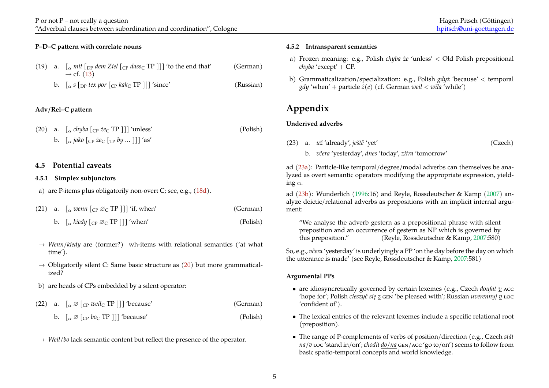### **P–D–C pattern with correlate nouns**

- (19) a.  $\int_{\alpha}$  *mit*  $\int_{\text{DP}}$  *dem Ziel*  $\int_{\text{CP}}$  *dass*<sub>C</sub> TP ]] 'to the end that' (German) *→* cf.([13\)](#page-2-1)
	- b.  $\int_{\alpha}$  *s*  $\int_{\text{DP}}$  *tex por*  $\int_{\text{CP}}$  *kak*<sub>C</sub> TP ]] 'since' (Russian)

# <span id="page-4-0"></span>**Adv/Rel–C pattern**

(20) a.  $\int_{\alpha}$  *chyba*  $\int_{\text{CP}}$  *że*<sub>C</sub> TP ]] 'unless' (Polish) b.  $\int_{\alpha}$  *jako*  $\int_{\text{CP}}$  *że*<sub>C</sub>  $\int_{\text{TP}}$  *by* ... ]]] 'as'

# **4.5 Potential caveats**

#### **4.5.1 Simplex subjunctors**

a) are P-items plus obligatorily non-overt C; see, e.g.,([18d\)](#page-3-1).

- (21) a.  $\int_{\alpha} wenn \left[ \text{CP } \varnothing_{\text{C}} \text{TP } \right] \right]$  'if, when' (German)
	- b.  $\int_{\alpha}$  *kiedy*  $\int_{\alpha}$   $\infty$  TP ]]] 'when' (Polish)
- *→ Wenn/kiedy* are (former?) wh-items with relational semantics ('at what time').
- *→* Obligatorily silent C: Same basic structure as [\(20](#page-4-0)) but more grammaticalized?
- b) are heads of CPs embedded by a silent operator:
- (22) a.  $\int_{\alpha} \emptyset [\text{cp } well \text{TP } ] ]$  'because' (German)
	- b.  $\left[\begin{array}{cc} \alpha & \beta \end{array}\right]$   $\left[\begin{array}{cc} \beta & \beta \end{array}\right]$   $\left[\begin{array}{cc} \beta & \beta \end{array}\right]$   $\left[\begin{array}{cc} \beta & \beta \end{array}\right]$
- *→ Weil/bo* lack semantic content but reflect the presence of the operator.

# **4.5.2 Intransparent semantics**

- a) Frozen meaning: e.g., Polish *chyba że* 'unless' *<* Old Polish prepositional *chyba* 'except' + CP.
- b) Grammaticalization/specialization: e.g., Polish *gdyż* 'because' *<* temporal *gdy* 'when' + particle  $\dot{z}(e)$  (cf. German *weil* <  $w\bar{t}$ *la* 'while')

# **Appendix**

### <span id="page-4-1"></span>**Underived adverbs**

(23) a. *už* 'already', *ještě* 'yet' (Czech) b. *včera* 'yesterday', *dnes* 'today', *zítra* 'tomorrow'

ad [\(23a](#page-4-1)): Particle-like temporal/degree/modal adverbs can themselves be analyzed as overt semantic operators modifying the appropriate expression, yielding *α*.

ad([23b](#page-4-1)): Wunderlich [\(1996](#page-6-1):16) and Reyle, Rossdeutscher & Kamp [\(2007](#page-6-24)) analyze deictic/relational adverbs as prepositions with an implicit internal argument:

"We analyse the adverb gestern as a prepositional phrase with silent preposition and an occurrence of gestern as NP which is governed by this preposition." (Reyle, Rossdeutscher & Kamp, [2007:](#page-6-24)580)

So, e.g., *včera* 'yesterday' is underlyingly a PP 'on the day before the day on which the utterance is made' (see Reyle, Rossdeutscher & Kamp, [2007](#page-6-24):581)

#### **Argumental PPs**

- are idiosyncretically governed by certain lexemes (e.g., Czech *doufat v* ACC 'hope for'; Polish *cieszyć się z* GEN 'be pleased with'; Russian *uverennyj v* LOC 'confident of').
- The lexical entries of the relevant lexemes include a specific relational root (preposition).
- The range of P-complements of verbs of position/direction (e.g., Czech *stát na/v* LOC 'stand in/on'; *chodit do/na* GEN/ACC 'go to/on') seems to follow from basic spatio-temporal concepts and world knowledge.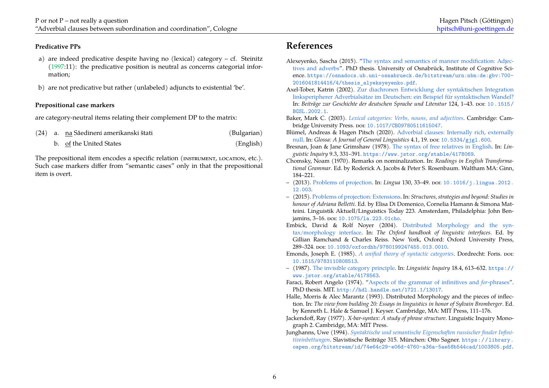#### **Predicative PPs**

- a) are indeed predicative despite having no (lexical) category cf. Steinitz [\(1997](#page-6-25):11): the predicative position is neutral as concerns categorial information;
- b) are not predicative but rather (unlabeled) adjuncts to existential 'be'.

#### **Prepositional case markers**

are category-neutral items relating their complement DP to the matrix:

|  | (24) a. na Săedineni amerikanski štati | (Bulgarian) |
|--|----------------------------------------|-------------|
|  |                                        |             |

b. of the United States (English)

The prepositional item encodes a specific relation (INSTRUMENT, LOCATION, etc.). Such case markers differ from "semantic cases" only in that the prepositional item is overt.

# **References**

- <span id="page-5-3"></span>Alexeyenko, Sascha (2015). "[The syntax and semantics of manner modification: Adjec](https://osnadocs.ub.uni-osnabrueck.de/bitstream/urn:nbn:de:gbv:700-2016041814416/4/thesis_alyeksyeyenko.pdf)[tives and adverbs](https://osnadocs.ub.uni-osnabrueck.de/bitstream/urn:nbn:de:gbv:700-2016041814416/4/thesis_alyeksyeyenko.pdf)". PhD thesis. University of Osnabrück, Institute of Cognitive Science. [https://osnadocs.ub.uni-osnabrueck.de/bitstream/urn:nbn:de:gbv:700-](https://osnadocs.ub.uni-osnabrueck.de/bitstream/urn:nbn:de:gbv:700-2016041814416/4/thesis_alyeksyeyenko.pdf) [2016041814416/4/thesis\\_alyeksyeyenko.pdf](https://osnadocs.ub.uni-osnabrueck.de/bitstream/urn:nbn:de:gbv:700-2016041814416/4/thesis_alyeksyeyenko.pdf).
- <span id="page-5-10"></span>Axel-Tober, Katrin (2002). [Zur diachronen Entwicklung der syntaktischen Integration](http://dx.doi.org/10.1515/BGSL.2002.1) [linksperipherer Adverbialsätze im Deutschen: ein Beispiel für syntaktischen Wandel?](http://dx.doi.org/10.1515/BGSL.2002.1) In: *Beiträge zur Geschichte der deutschen Sprache und Literatur* 124, 1–43. DOI: [10.1515/](https://doi.org/10.1515/BGSL.2002.1) [BGSL.2002.1](https://doi.org/10.1515/BGSL.2002.1).
- <span id="page-5-2"></span>Baker, Mark C. (2003). *[Lexical categories: Verbs, nouns, and adjectives](http://dx.doi.org/10.1017/CBO9780511615047)*. Cambridge: Cambridge University Press. DOI: [10.1017/CBO9780511615047](https://doi.org/10.1017/CBO9780511615047).
- <span id="page-5-0"></span>Blümel, Andreas & Hagen Pitsch (2020). [Adverbial clauses: Internally rich, externally](http://dx.doi.org/10.5334/gjgl.600) [null.](http://dx.doi.org/10.5334/gjgl.600) In: *Glossa: A Journal of General Linguistics* 4.1, 19. DOI: [10.5334/gjgl.600](https://doi.org/10.5334/gjgl.600).
- <span id="page-5-11"></span>Bresnan, Joan & Jane Grimshaw (1978). [The syntax of free relatives in English.](https://www.jstor.org/stable/4178069) In: *Linguistic Inquiry* 9.3, 331–391. <https://www.jstor.org/stable/4178069>.
- <span id="page-5-1"></span>Chomsky, Noam (1970). Remarks on nominalization. In: *Readings in English Transformational Grammar*. Ed. by Roderick A. Jacobs & Peter S. Rosenbaum. Waltham MA: Ginn, 184–221.
- <span id="page-5-13"></span>– (2013). [Problems of projection](http://dx.doi.org/10.1016/j.lingua.2012.12.003). In: *Lingua* 130, 33–49. DOI: [10.1016/j.lingua.2012.](https://doi.org/10.1016/j.lingua.2012.12.003) [12.003](https://doi.org/10.1016/j.lingua.2012.12.003).
- <span id="page-5-14"></span>– (2015). [Problems of projection: Extensions](http://dx.doi.org/10.1075/la.223.01cho). In: *Structures, strategies and beyond: Studies in honour of Adriana Belletti*. Ed. by Elisa Di Domenico, Cornelia Hamann & Simona Matteini. Linguistik Aktuell/Linguistics Today 223. Amsterdam, Philadelphia: John Benjamins, 3-16. por: 10.1075/1a.223.01cho.
- <span id="page-5-5"></span>Embick, David & Rolf Noyer (2004). [Distributed Morphology and the syn](http://dx.doi.org/10.1093/oxfordhb/9780199247455.013.0010)[tax/morphology interface](http://dx.doi.org/10.1093/oxfordhb/9780199247455.013.0010). In: *The Oxford handbook of linguistic interfaces*. Ed. by Gillian Ramchand & Charles Reiss. New York, Oxford: Oxford University Press, 289–324. DOI: [10.1093/oxfordhb/9780199247455.013.0010](https://doi.org/10.1093/oxfordhb/9780199247455.013.0010).
- <span id="page-5-8"></span>Emonds, Joseph E. (1985). *[A unified theory of syntactic categories](http://dx.doi.org/10.1515/9783110808513)*. Dordrecht: Foris. por. [10.1515/9783110808513](https://doi.org/10.1515/9783110808513).
- <span id="page-5-12"></span>– (1987). [The invisible category principle](https://www.jstor.org/stable/4178563). In: *Linguistic Inquiry* 18.4, 613–632. [https://](https://www.jstor.org/stable/4178563) [www.jstor.org/stable/4178563](https://www.jstor.org/stable/4178563).
- <span id="page-5-6"></span>Faraci, Robert Angelo (1974). ["Aspects of the grammar of infinitives and](http://hdl.handle.net/1721.1/13017) *for*-phrases". PhD thesis. MIT. <http://hdl.handle.net/1721.1/13017>.
- <span id="page-5-4"></span>Halle, Morris & Alec Marantz (1993). Distributed Morphology and the pieces of inflection. In: *The view from building 20: Essays in linguistics in honor of Sylvain Bromberger*. Ed. by Kenneth L. Hale & Samuel J. Keyser. Cambridge, MA: MIT Press, 111–176.
- <span id="page-5-7"></span>Jackendoff, Ray (1977). *X-bar-syntax: A study of phrase structure*. Linguistic Inquiry Monograph 2. Cambridge, MA: MIT Press.
- <span id="page-5-9"></span>Junghanns, Uwe (1994). *[Syntaktische und semantische Eigenschaften russischer finaler Infini](https://library.oapen.org/bitstream/id/74e64c29-e06d-4760-a36a-5ae58b544cad/1003805.pdf)[tiveinbettungen](https://library.oapen.org/bitstream/id/74e64c29-e06d-4760-a36a-5ae58b544cad/1003805.pdf)*. Slavistische Beiträge 315. München: Otto Sagner. [https://library.](https://library.oapen.org/bitstream/id/74e64c29-e06d-4760-a36a-5ae58b544cad/1003805.pdf) [oapen.org/bitstream/id/74e64c29-e06d-4760-a36a-5ae58b544cad/1003805.pdf](https://library.oapen.org/bitstream/id/74e64c29-e06d-4760-a36a-5ae58b544cad/1003805.pdf).